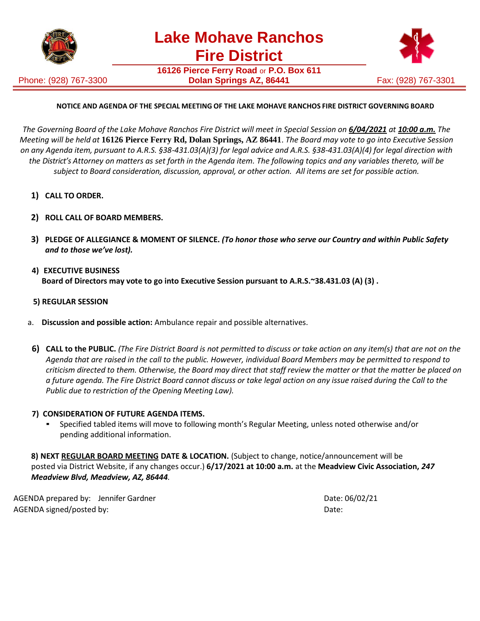

Phone: (928) 767-3300

**16126 Pierce Ferry Road** or **P.O. Box 611 Dolan Springs AZ, 86441** Fax: (928) 767-3301



## **NOTICE AND AGENDA OF THE SPECIAL MEETING OF THE LAKE MOHAVE RANCHOS FIRE DISTRICT GOVERNING BOARD**

The Governing Board of the Lake Mohave Ranchos Fire District will meet in Special Session on 6/04/2021 at 10:00 a.m. The *Meeting will be held at* **16126 Pierce Ferry Rd, Dolan Springs, AZ 86441**. *The Board may vote to go into Executive Session on any Agenda item, pursuant to A.R.S. §38-431.03(A)(3) for legal advice and A.R.S. §38-431.03(A)(4) for legal direction with*  the District's Attorney on matters as set forth in the Agenda item. The following topics and any variables thereto, will be *subject to Board consideration, discussion, approval, or other action. All items are set for possible action.*

- **1) CALL TO ORDER.**
- **2) ROLL CALL OF BOARD MEMBERS.**
- **3) PLEDGE OF ALLEGIANCE & MOMENT OF SILENCE.** *(To honor those who serve our Country and within Public Safety and to those we've lost).*
- **4) EXECUTIVE BUSINESS Board of Directors may vote to go into Executive Session pursuant to A.R.S.~38.431.03 (A) (3) .**
- **5) REGULAR SESSION**
- a. **Discussion and possible action:** Ambulance repair and possible alternatives.
- 6) CALL to the PUBLIC. (The Fire District Board is not permitted to discuss or take action on any item(s) that are not on the *Agenda that are raised in the call to the public. However, individual Board Members may be permitted to respond to criticism directed to them. Otherwise, the Board may direct that staff review the matter or that the matter be placed on a future agenda. The Fire District Board cannot discuss or take legal action on any issue raised during the Call to the Public due to restriction of the Opening Meeting Law).*

## **7) CONSIDERATION OF FUTURE AGENDA ITEMS.**

Specified tabled items will move to following month's Regular Meeting, unless noted otherwise and/or pending additional information.

**8) NEXT REGULAR BOARD MEETING DATE & LOCATION.** (Subject to change, notice/announcement will be posted via District Website, if any changes occur.) **6/17/2021 at 10:00 a.m.** at the **Meadview Civic Association,** *247 Meadview Blvd, Meadview, AZ, 86444.*

AGENDA prepared by: Jennifer Gardner Date: 06/02/21 AGENDA signed/posted by:  $\blacksquare$